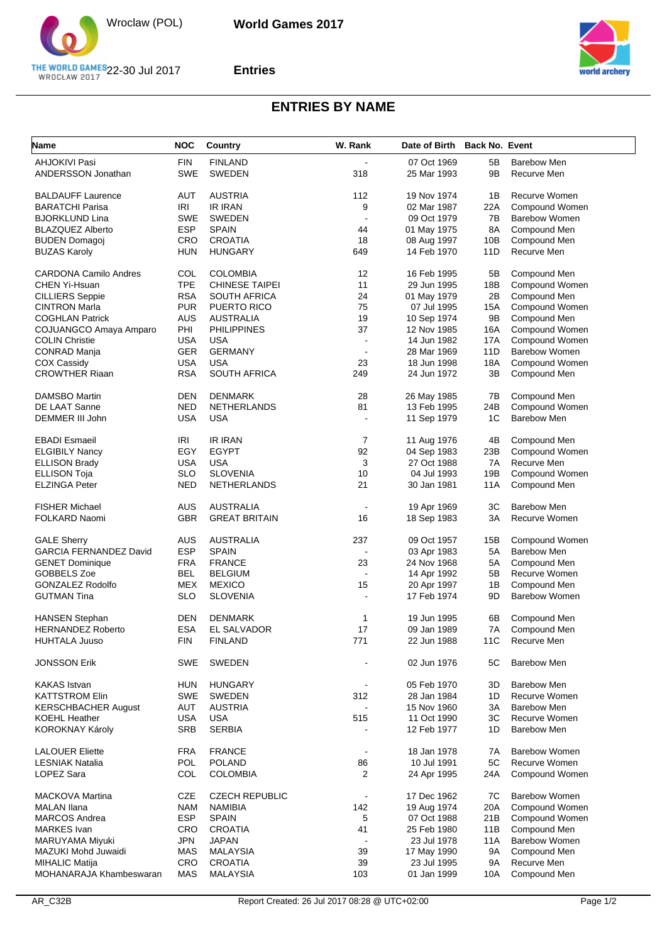

## **Entries**



## **ENTRIES BY NAME**

| <b>Name</b>                   | <b>NOC</b> | <b>Country</b>        | W. Rank        | Date of Birth Back No. Event |            |                       |
|-------------------------------|------------|-----------------------|----------------|------------------------------|------------|-----------------------|
| <b>AHJOKIVI Pasi</b>          | <b>FIN</b> | <b>FINLAND</b>        |                | 07 Oct 1969                  | 5Β         | <b>Barebow Men</b>    |
| ANDERSSON Jonathan            | <b>SWE</b> | <b>SWEDEN</b>         | 318            | 25 Mar 1993                  | 9Β         | Recurve Men           |
| <b>BALDAUFF Laurence</b>      | AUT        | <b>AUSTRIA</b>        | 112            | 19 Nov 1974                  | 1B         | Recurve Women         |
|                               |            |                       |                | 02 Mar 1987                  |            | Compound Women        |
| <b>BARATCHI Parisa</b>        | <b>IRI</b> | <b>IR IRAN</b>        | 9              |                              | 22A        |                       |
| <b>BJORKLUND Lina</b>         | <b>SWE</b> | <b>SWEDEN</b>         | $\blacksquare$ | 09 Oct 1979                  | 7B         | <b>Barebow Women</b>  |
| <b>BLAZQUEZ Alberto</b>       | <b>ESP</b> | <b>SPAIN</b>          | 44             | 01 May 1975                  | 8A         | Compound Men          |
| <b>BUDEN Domagoj</b>          | CRO        | <b>CROATIA</b>        | 18             | 08 Aug 1997                  | 10B        | Compound Men          |
| <b>BUZAS Karoly</b>           | HUN        | <b>HUNGARY</b>        | 649            | 14 Feb 1970                  | 11D        | Recurve Men           |
| <b>CARDONA Camilo Andres</b>  | COL        | <b>COLOMBIA</b>       | 12             | 16 Feb 1995                  | 5B         | Compound Men          |
| CHEN Yi-Hsuan                 | <b>TPE</b> | <b>CHINESE TAIPEI</b> | 11             | 29 Jun 1995                  | 18B        | <b>Compound Women</b> |
| <b>CILLIERS</b> Seppie        | <b>RSA</b> | <b>SOUTH AFRICA</b>   | 24             | 01 May 1979                  | 2B         | Compound Men          |
| <b>CINTRON Marla</b>          | <b>PUR</b> | PUERTO RICO           | 75             | 07 Jul 1995                  | 15A        | Compound Women        |
| <b>COGHLAN Patrick</b>        | AUS        | <b>AUSTRALIA</b>      | 19             | 10 Sep 1974                  | 9B         | Compound Men          |
| COJUANGCO Amaya Amparo        | PHI        | <b>PHILIPPINES</b>    | 37             | 12 Nov 1985                  | 16A        | Compound Women        |
| <b>COLIN Christie</b>         | USA        | <b>USA</b>            | $\overline{a}$ | 14 Jun 1982                  | 17A        | Compound Women        |
| <b>CONRAD Manja</b>           | GER        | <b>GERMANY</b>        | $\blacksquare$ | 28 Mar 1969                  | 11D        | <b>Barebow Women</b>  |
|                               |            |                       |                |                              |            |                       |
| <b>COX Cassidy</b>            | <b>USA</b> | <b>USA</b>            | 23             | 18 Jun 1998                  | 18A        | Compound Women        |
| <b>CROWTHER Riaan</b>         | <b>RSA</b> | <b>SOUTH AFRICA</b>   | 249            | 24 Jun 1972                  | 3B         | Compound Men          |
| <b>DAMSBO Martin</b>          | DEN        | <b>DENMARK</b>        | 28             | 26 May 1985                  | 7В         | Compound Men          |
| DE LAAT Sanne                 | <b>NED</b> | <b>NETHERLANDS</b>    | 81             | 13 Feb 1995                  | 24B        | <b>Compound Women</b> |
| DEMMER III John               | USA        | <b>USA</b>            |                | 11 Sep 1979                  | 1C         | <b>Barebow Men</b>    |
| <b>EBADI Esmaeil</b>          | IRI        | <b>IR IRAN</b>        | 7              | 11 Aug 1976                  | 4B         | Compound Men          |
| <b>ELGIBILY Nancy</b>         | EGY        | <b>EGYPT</b>          | 92             | 04 Sep 1983                  | 23B        | Compound Women        |
|                               |            |                       |                |                              |            | Recurve Men           |
| <b>ELLISON Brady</b>          | USA        | <b>USA</b>            | 3              | 27 Oct 1988                  | 7A         |                       |
| <b>ELLISON Toja</b>           | <b>SLO</b> | <b>SLOVENIA</b>       | 10             | 04 Jul 1993                  | 19B        | Compound Women        |
| <b>ELZINGA Peter</b>          | NED        | NETHERLANDS           | 21             | 30 Jan 1981                  | 11A        | Compound Men          |
| <b>FISHER Michael</b>         | AUS        | <b>AUSTRALIA</b>      | $\blacksquare$ | 19 Apr 1969                  | ЗC         | <b>Barebow Men</b>    |
| FOLKARD Naomi                 | <b>GBR</b> | <b>GREAT BRITAIN</b>  | 16             | 18 Sep 1983                  | 3A         | Recurve Women         |
| <b>GALE Sherry</b>            | AUS        | <b>AUSTRALIA</b>      | 237            | 09 Oct 1957                  | 15B        | Compound Women        |
|                               |            |                       |                |                              |            |                       |
| <b>GARCIA FERNANDEZ David</b> | <b>ESP</b> | <b>SPAIN</b>          |                | 03 Apr 1983                  | 5A         | Barebow Men           |
| <b>GENET Dominique</b>        | FRA        | <b>FRANCE</b>         | 23             | 24 Nov 1968                  | 5A         | Compound Men          |
| GOBBELS Zoe                   | <b>BEL</b> | <b>BELGIUM</b>        |                | 14 Apr 1992                  | 5Β         | Recurve Women         |
| <b>GONZALEZ Rodolfo</b>       | MEX        | <b>MEXICO</b>         | 15             | 20 Apr 1997                  | 1B         | Compound Men          |
| <b>GUTMAN Tina</b>            | <b>SLO</b> | <b>SLOVENIA</b>       |                | 17 Feb 1974                  | 9D         | <b>Barebow Women</b>  |
| <b>HANSEN Stephan</b>         | DEN        | <b>DENMARK</b>        | $\mathbf 1$    | 19 Jun 1995                  | 6B         | Compound Men          |
| <b>HERNANDEZ Roberto</b>      | <b>ESA</b> | EL SALVADOR           | 17             | 09 Jan 1989                  | 7A         | Compound Men          |
| <b>HUHTALA Juuso</b>          | <b>FIN</b> | <b>FINLAND</b>        | 771            | 22 Jun 1988                  | <b>11C</b> | Recurve Men           |
| <b>JONSSON Erik</b>           | SWE        | SWEDEN                |                | 02 Jun 1976                  | 5C         | Barebow Men           |
|                               |            |                       |                |                              |            |                       |
| <b>KAKAS</b> Istvan           | HUN        | <b>HUNGARY</b>        | $\blacksquare$ | 05 Feb 1970                  | 3D         | Barebow Men           |
| <b>KATTSTROM Elin</b>         | <b>SWE</b> | <b>SWEDEN</b>         | 312            | 28 Jan 1984                  | 1D         | Recurve Women         |
| <b>KERSCHBACHER August</b>    | AUT        | <b>AUSTRIA</b>        |                | 15 Nov 1960                  | 3A         | Barebow Men           |
| <b>KOEHL Heather</b>          | <b>USA</b> | <b>USA</b>            | 515            | 11 Oct 1990                  | ЗC         | Recurve Women         |
| KOROKNAY Károly               | <b>SRB</b> | <b>SERBIA</b>         |                | 12 Feb 1977                  | 1D         | <b>Barebow Men</b>    |
| <b>LALOUER Eliette</b>        | FRA        | <b>FRANCE</b>         | $\blacksquare$ | 18 Jan 1978                  | 7A         | <b>Barebow Women</b>  |
| <b>LESNIAK Natalia</b>        | POL        | <b>POLAND</b>         | 86             | 10 Jul 1991                  | 5C         | Recurve Women         |
|                               |            |                       |                |                              |            |                       |
| LOPEZ Sara                    | COL        | <b>COLOMBIA</b>       | $\overline{2}$ | 24 Apr 1995                  | 24A        | Compound Women        |
| <b>MACKOVA Martina</b>        | CZE        | <b>CZECH REPUBLIC</b> |                | 17 Dec 1962                  | 7C         | <b>Barebow Women</b>  |
| <b>MALAN Ilana</b>            | <b>NAM</b> | NAMIBIA               | 142            | 19 Aug 1974                  | 20A        | Compound Women        |
| <b>MARCOS Andrea</b>          | <b>ESP</b> | <b>SPAIN</b>          | 5              | 07 Oct 1988                  | 21B        | Compound Women        |
| <b>MARKES</b> Ivan            | <b>CRO</b> | <b>CROATIA</b>        | 41             | 25 Feb 1980                  | 11B        | Compound Men          |
| MARUYAMA Miyuki               | JPN        | JAPAN                 | $\blacksquare$ | 23 Jul 1978                  | 11A        | Barebow Women         |
|                               |            |                       |                |                              |            |                       |
| MAZUKI Mohd Juwaidi           | MAS        | <b>MALAYSIA</b>       | 39             | 17 May 1990                  | 9Α         | Compound Men          |
| <b>MIHALIC Matija</b>         | CRO        | <b>CROATIA</b>        | 39             | 23 Jul 1995                  | 9Α         | Recurve Men           |
| MOHANARAJA Khambeswaran       | <b>MAS</b> | <b>MALAYSIA</b>       | 103            | 01 Jan 1999                  | 10A        | Compound Men          |